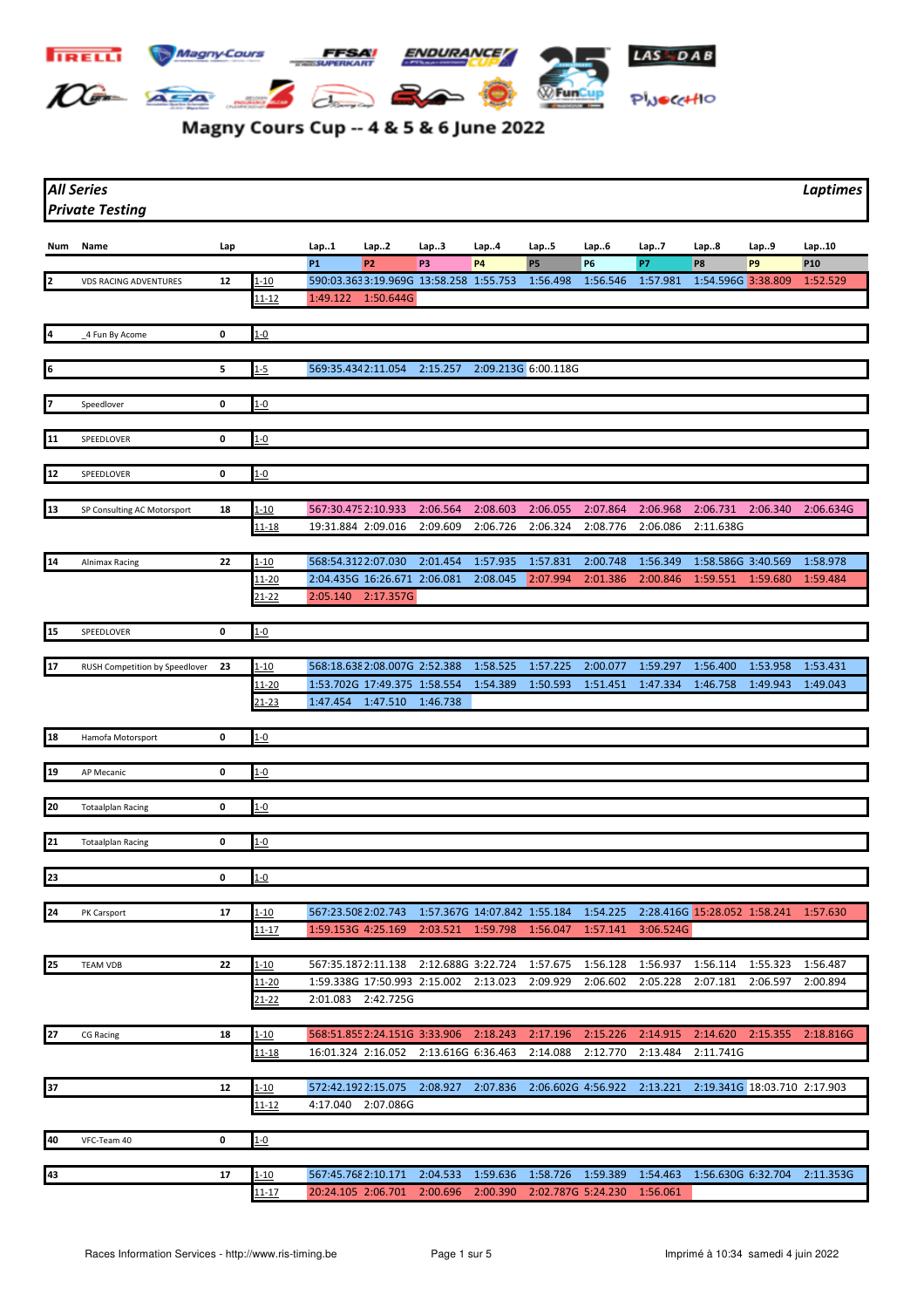

## Magny Cours Cup -- 4 & 5 & 6 June 2022

|     | <b>All Series</b><br><b>Private Testing</b> |     |                    |           |                                                                       |                |           |                       |                       |                                                                                               |                                      |                | <b>Laptimes</b>             |
|-----|---------------------------------------------|-----|--------------------|-----------|-----------------------------------------------------------------------|----------------|-----------|-----------------------|-----------------------|-----------------------------------------------------------------------------------------------|--------------------------------------|----------------|-----------------------------|
| Num | Name                                        | Lap |                    | Lap1      | Lap2                                                                  | Lap3           | Lap4      | Lap5                  | Lap6                  | Lap7                                                                                          | Lap8                                 | Lap9           | Lap10                       |
| 12  | <b>VDS RACING ADVENTURES</b>                | 12  | $1 - 10$           | <b>P1</b> | <b>P2</b><br>590:03.3633:19.969G 13:58.258 1:55.753                   | P <sub>3</sub> | <b>P4</b> | <b>P5</b><br>1:56.498 | <b>P6</b><br>1:56.546 | P7<br>1:57.981                                                                                | P <sub>8</sub><br>1:54.596G 3:38.809 | P <sub>9</sub> | P <sub>10</sub><br>1:52.529 |
|     |                                             |     | 11-12              |           | 1:49.122  1:50.644G                                                   |                |           |                       |                       |                                                                                               |                                      |                |                             |
| 4   | 4 Fun By Acome                              | 0   | $1 - 0$            |           |                                                                       |                |           |                       |                       |                                                                                               |                                      |                |                             |
|     |                                             |     |                    |           |                                                                       |                |           |                       |                       |                                                                                               |                                      |                |                             |
|     |                                             | 5   | $1-5$              |           | 569:35.4342:11.054                                                    | 2:15.257       |           | 2:09.213G 6:00.118G   |                       |                                                                                               |                                      |                |                             |
|     | Speedlover                                  | 0   | $1 - 0$            |           |                                                                       |                |           |                       |                       |                                                                                               |                                      |                |                             |
| 11  | SPEEDLOVER                                  | 0   | $1 - 0$            |           |                                                                       |                |           |                       |                       |                                                                                               |                                      |                |                             |
|     |                                             |     |                    |           |                                                                       |                |           |                       |                       |                                                                                               |                                      |                |                             |
| 12  | SPEEDLOVER                                  | 0   | $1 - 0$            |           |                                                                       |                |           |                       |                       |                                                                                               |                                      |                |                             |
| 13  | SP Consulting AC Motorsport                 | 18  | $1 - 10$           |           | 567:30.4752:10.933                                                    | 2:06.564       | 2:08.603  | 2:06.055              | 2:07.864              | 2:06.968                                                                                      | 2:06.731                             | 2:06.340       | 2:06.634G                   |
|     |                                             |     | $11 - 18$          |           | 19:31.884 2:09.016                                                    | 2:09.609       | 2:06.726  | 2:06.324              | 2:08.776              | 2:06.086                                                                                      | 2:11.638G                            |                |                             |
|     |                                             |     |                    |           |                                                                       |                |           |                       |                       |                                                                                               |                                      |                |                             |
| 14  | <b>Alnimax Racing</b>                       | 22  | $1 - 10$           |           | 568:54.3122:07.030                                                    | 2:01.454       | 1:57.935  | 1:57.831              | 2:00.748              | 1:56.349                                                                                      | 1:58.586G 3:40.569                   |                | 1:58.978                    |
|     |                                             |     | $11 - 20$<br>21-22 |           | 2:04.435G 16:26.671<br>2:05.140 2:17.357G                             | 2:06.081       | 2:08.045  | 2:07.994              | 2:01.386              | 2:00.846                                                                                      | 1:59.551                             | 1:59.680       | 1:59.484                    |
|     |                                             |     |                    |           |                                                                       |                |           |                       |                       |                                                                                               |                                      |                |                             |
| 15  | SPEEDLOVER                                  | 0   | $1 - 0$            |           |                                                                       |                |           |                       |                       |                                                                                               |                                      |                |                             |
|     |                                             |     |                    |           |                                                                       |                |           |                       |                       |                                                                                               |                                      |                |                             |
| 17  | RUSH Competition by Speedlover              | 23  | <u>1-10</u>        |           | 568:18.638 2:08.007G 2:52.388                                         |                | 1:58.525  | 1:57.225              | 2:00.077              | 1:59.297                                                                                      | 1:56.400                             | 1:53.958       | 1:53.431                    |
|     |                                             |     | 11-20<br>$21 - 23$ |           | 1:53.702G 17:49.375 1:58.554<br>1:47.454 1:47.510 1:46.738            |                | 1:54.389  | 1:50.593              | 1:51.451              | 1:47.334                                                                                      | 1:46.758                             | 1:49.943       | 1:49.043                    |
|     |                                             |     |                    |           |                                                                       |                |           |                       |                       |                                                                                               |                                      |                |                             |
| 18  | Hamofa Motorsport                           | 0   | $1 - 0$            |           |                                                                       |                |           |                       |                       |                                                                                               |                                      |                |                             |
|     |                                             |     |                    |           |                                                                       |                |           |                       |                       |                                                                                               |                                      |                |                             |
| 19  | AP Mecanic                                  | 0   | <u>1-0</u>         |           |                                                                       |                |           |                       |                       |                                                                                               |                                      |                |                             |
| 20  | <b>Totaalplan Racing</b>                    | 0   | $1 - 0$            |           |                                                                       |                |           |                       |                       |                                                                                               |                                      |                |                             |
|     |                                             |     |                    |           |                                                                       |                |           |                       |                       |                                                                                               |                                      |                |                             |
| 21  | <b>Totaalplan Racing</b>                    | 0   | $1 - 0$            |           |                                                                       |                |           |                       |                       |                                                                                               |                                      |                |                             |
|     |                                             |     |                    |           |                                                                       |                |           |                       |                       |                                                                                               |                                      |                |                             |
| 23  |                                             | 0   | $1 - 0$            |           |                                                                       |                |           |                       |                       |                                                                                               |                                      |                |                             |
| 24  | PK Carsport                                 | 17  | $1 - 10$           |           | 567:23.508 2:02.743    1:57.367G    14:07.842    1:55.184    1:54.225 |                |           |                       |                       | 2:28.416G 15:28.052 1:58.241 1:57.630                                                         |                                      |                |                             |
|     |                                             |     | <u> 11-17</u>      |           | 1:59.153G 4:25.169 2:03.521 1:59.798                                  |                |           | 1:56.047              | 1:57.141              | 3:06.524G                                                                                     |                                      |                |                             |
|     |                                             |     |                    |           |                                                                       |                |           |                       |                       |                                                                                               |                                      |                |                             |
| 25  | <b>TEAM VDB</b>                             | 22  | $1 - 10$           |           | 567:35.1872:11.138 2:12.688G 3:22.724                                 |                |           | 1:57.675              | 1:56.128              | 1:56.937                                                                                      | 1:56.114                             | 1:55.323       | 1:56.487                    |
|     |                                             |     | 11-20              |           | 1:59.338G 17:50.993 2:15.002 2:13.023                                 |                |           | 2:09.929              | 2:06.602              | 2:05.228                                                                                      | 2:07.181                             | 2:06.597       | 2:00.894                    |
|     |                                             |     | 21-22              |           | 2:01.083 2:42.725G                                                    |                |           |                       |                       |                                                                                               |                                      |                |                             |
| 27  | <b>CG Racing</b>                            | 18  | $1 - 10$           |           | 568:51.8552:24.151G 3:33.906 2:18.243                                 |                |           | 2:17.196              | 2:15.226              | 2:14.915                                                                                      | 2:14.620                             | 2:15.355       | 2:18.816G                   |
|     |                                             |     | 11-18              |           | 16:01.324 2:16.052 2:13.616G 6:36.463                                 |                |           | 2:14.088              | 2:12.770              | 2:13.484                                                                                      | 2:11.741G                            |                |                             |
|     |                                             |     |                    |           |                                                                       |                |           |                       |                       |                                                                                               |                                      |                |                             |
| 37  |                                             | 12  | $1 - 10$           |           |                                                                       |                |           |                       |                       | 572:42.1922:15.075 2:08.927 2:07.836 2:06.602G 4:56.922 2:13.221 2:19.341G 18:03.710 2:17.903 |                                      |                |                             |
|     |                                             |     | $11 - 12$          |           | 4:17.040 2:07.086G                                                    |                |           |                       |                       |                                                                                               |                                      |                |                             |
| 40  | VFC-Team 40                                 | 0   | $1 - 0$            |           |                                                                       |                |           |                       |                       |                                                                                               |                                      |                |                             |
|     |                                             |     |                    |           |                                                                       |                |           |                       |                       |                                                                                               |                                      |                |                             |
| 43  |                                             | 17  | $1 - 10$           |           | 567:45.768 2:10.171 2:04.533 1:59.636                                 |                |           |                       |                       | 1:58.726  1:59.389  1:54.463  1:56.630G  6:32.704  2:11.353G                                  |                                      |                |                             |
|     |                                             |     | <u> 11-17</u>      |           | 20:24.105 2:06.701 2:00.696 2:00.390 2:02.787G 5:24.230 1:56.061      |                |           |                       |                       |                                                                                               |                                      |                |                             |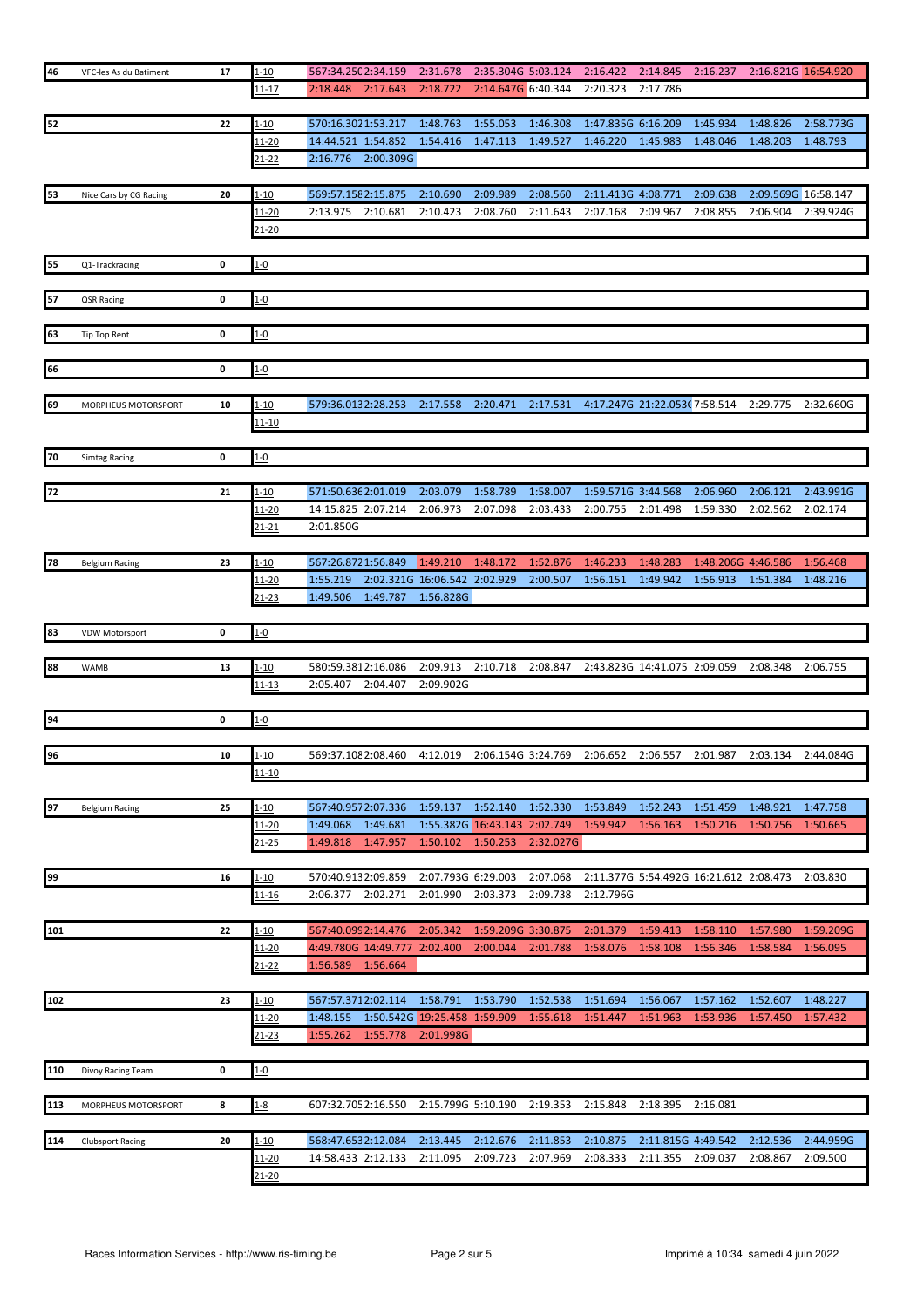| 46  | VFC-les As du Batiment  | 17 | $1 - 10$               | 567:34.250 2:34.159          |           | 2:31.678                     |                    | 2:35.304G 5:03.124 | 2:16.422                               | 2:14.845           | 2:16.237           | 2:16.821G 16:54.920 |           |
|-----|-------------------------|----|------------------------|------------------------------|-----------|------------------------------|--------------------|--------------------|----------------------------------------|--------------------|--------------------|---------------------|-----------|
|     |                         |    | 11-17                  | 2:18.448 2:17.643            |           | 2:18.722                     | 2:14.647G 6:40.344 |                    | 2:20.323                               | 2:17.786           |                    |                     |           |
|     |                         |    |                        |                              |           |                              |                    |                    |                                        |                    |                    |                     |           |
| 52  |                         | 22 | $1 - 10$               | 570:16.3021:53.217           |           | 1:48.763                     | 1:55.053           | 1:46.308           | 1:47.835G 6:16.209                     |                    | 1:45.934           | 1:48.826            | 2:58.773G |
|     |                         |    | $11 - 20$              | 14:44.521 1:54.852           |           | 1:54.416                     | 1:47.113           | 1:49.527           | 1:46.220 1:45.983                      |                    | 1:48.046           | 1:48.203            | 1:48.793  |
|     |                         |    | 21-22                  | 2:16.776                     | 2:00.309G |                              |                    |                    |                                        |                    |                    |                     |           |
|     |                         |    |                        |                              |           |                              |                    |                    |                                        |                    |                    |                     |           |
| 53  | Nice Cars by CG Racing  | 20 | 1-10                   | 569:57.1582:15.875           |           | 2:10.690                     | 2:09.989           | 2:08.560           | 2:11.413G 4:08.771                     |                    | 2:09.638           | 2:09.569G 16:58.147 |           |
|     |                         |    | 11-20                  | 2:13.975                     | 2:10.681  | 2:10.423                     | 2:08.760           | 2:11.643           | 2:07.168                               | 2:09.967           | 2:08.855           | 2:06.904            | 2:39.924G |
|     |                         |    | <u>21-20</u>           |                              |           |                              |                    |                    |                                        |                    |                    |                     |           |
|     |                         |    |                        |                              |           |                              |                    |                    |                                        |                    |                    |                     |           |
| 55  | Q1-Trackracing          | 0  | $1 - 0$                |                              |           |                              |                    |                    |                                        |                    |                    |                     |           |
|     |                         |    |                        |                              |           |                              |                    |                    |                                        |                    |                    |                     |           |
| 57  | QSR Racing              | 0  | $1 - 0$                |                              |           |                              |                    |                    |                                        |                    |                    |                     |           |
|     |                         |    |                        |                              |           |                              |                    |                    |                                        |                    |                    |                     |           |
| 63  | <b>Tip Top Rent</b>     | 0  | $1 - 0$                |                              |           |                              |                    |                    |                                        |                    |                    |                     |           |
|     |                         |    |                        |                              |           |                              |                    |                    |                                        |                    |                    |                     |           |
| 66  |                         | 0  | $1 - 0$                |                              |           |                              |                    |                    |                                        |                    |                    |                     |           |
|     |                         |    |                        |                              |           |                              |                    |                    |                                        |                    |                    |                     |           |
| 69  | MORPHEUS MOTORSPORT     | 10 | $1 - 10$               | 579:36.0132:28.253           |           | 2:17.558                     | 2:20.471           | 2:17.531           | 4:17.247G 21:22.053C 7:58.514          |                    |                    | 2:29.775            | 2:32.660G |
|     |                         |    | 11-10                  |                              |           |                              |                    |                    |                                        |                    |                    |                     |           |
|     |                         |    |                        |                              |           |                              |                    |                    |                                        |                    |                    |                     |           |
| 70  | <b>Simtag Racing</b>    | 0  | $1 - 0$                |                              |           |                              |                    |                    |                                        |                    |                    |                     |           |
|     |                         |    |                        |                              |           |                              |                    |                    |                                        |                    |                    |                     |           |
| 72  |                         | 21 | 1-10                   | 571:50.636 2:01.019          |           | 2:03.079                     | 1:58.789           | 1:58.007           | 1:59.571G 3:44.568                     |                    | 2:06.960           | 2:06.121            | 2:43.991G |
|     |                         |    | $11 - 20$              | 14:15.825 2:07.214           |           | 2:06.973                     | 2:07.098           | 2:03.433           | 2:00.755                               | 2:01.498           | 1:59.330           | 2:02.562            | 2:02.174  |
|     |                         |    | <u> 21-21</u>          | 2:01.850G                    |           |                              |                    |                    |                                        |                    |                    |                     |           |
|     |                         |    |                        |                              |           |                              |                    |                    |                                        |                    |                    |                     |           |
| 78  | <b>Belgium Racing</b>   | 23 | <u>1-10</u>            | 567:26.8721:56.849           |           | 1:49.210                     | 1:48.172           | 1:52.876           | 1:46.233                               | 1:48.283           | 1:48.206G 4:46.586 |                     | 1:56.468  |
|     |                         |    | 11-20                  | 1:55.219                     |           | 2:02.321G 16:06.542 2:02.929 |                    | 2:00.507           | 1:56.151                               | 1:49.942           | 1:56.913           | 1:51.384            | 1:48.216  |
|     |                         |    | 21-23                  | 1:49.506                     | 1:49.787  | 1:56.828G                    |                    |                    |                                        |                    |                    |                     |           |
|     |                         |    |                        |                              |           |                              |                    |                    |                                        |                    |                    |                     |           |
| 83  | <b>VDW Motorsport</b>   | 0  | $1 - 0$                |                              |           |                              |                    |                    |                                        |                    |                    |                     |           |
|     |                         |    |                        |                              |           |                              |                    |                    |                                        |                    |                    |                     |           |
| 88  | <b>WAMB</b>             | 13 | $1 - 10$               | 580:59.3812:16.086           |           | 2:09.913                     | 2:10.718           | 2:08.847           | 2:43.823G 14:41.075 2:09.059           |                    |                    | 2:08.348            | 2:06.755  |
|     |                         |    | 11-13                  | 2:05.407                     | 2:04.407  | 2:09.902G                    |                    |                    |                                        |                    |                    |                     |           |
|     |                         |    |                        |                              |           |                              |                    |                    |                                        |                    |                    |                     |           |
| 94  |                         | 0  | $1 - 0$                |                              |           |                              |                    |                    |                                        |                    |                    |                     |           |
|     |                         |    |                        |                              |           |                              |                    |                    |                                        |                    |                    |                     |           |
| 96  |                         | 10 | $1 - 10$               | 569:37.108 2:08.460          |           | 4:12.019                     | 2:06.154G 3:24.769 |                    | 2:06.652                               |                    |                    |                     |           |
|     |                         |    | $11 - 10$              |                              |           |                              |                    |                    |                                        | 2:06.557           | 2:01.987           | 2:03.134            | 2:44.084G |
|     |                         |    |                        |                              |           |                              |                    |                    |                                        |                    |                    |                     |           |
|     |                         |    |                        |                              |           |                              |                    |                    |                                        |                    |                    |                     |           |
| 97  | <b>Belgium Racing</b>   | 25 | $1 - 10$               | 567:40.9572:07.336           |           | 1:59.137                     | 1:52.140           | 1:52.330           | 1:53.849                               | 1:52.243           | 1:51.459           | 1:48.921            | 1:47.758  |
|     |                         |    | 11-20                  | 1:49.068                     | 1:49.681  | 1:55.382G 16:43.143 2:02.749 |                    |                    | 1:59.942                               | 1:56.163           | 1:50.216           | 1:50.756            | 1:50.665  |
|     |                         |    | 21-25                  | 1:49.818                     | 1:47.957  | 1:50.102                     | 1:50.253           | 2:32.027G          |                                        |                    |                    |                     |           |
|     |                         |    |                        |                              |           |                              |                    |                    |                                        |                    |                    |                     |           |
| 99  |                         | 16 | $1 - 10$               | 570:40.9132:09.859           |           | 2:07.793G 6:29.003           |                    | 2:07.068           | 2:11.377G 5:54.492G 16:21.612 2:08.473 |                    |                    |                     | 2:03.830  |
|     |                         |    | <u> 11-16</u>          | 2:06.377                     | 2:02.271  | 2:01.990                     | 2:03.373           | 2:09.738           | 2:12.796G                              |                    |                    |                     |           |
|     |                         |    |                        |                              |           |                              |                    |                    |                                        |                    |                    |                     |           |
| 101 |                         | 22 | <u>1-10</u>            | 567:40.099 2:14.476          |           | 2:05.342                     | 1:59.209G 3:30.875 |                    | 2:01.379                               | 1:59.413           | 1:58.110           | 1:57.980            | 1:59.209G |
|     |                         |    | <u> 11-20</u>          | 4:49.780G 14:49.777 2:02.400 |           |                              | 2:00.044           | 2:01.788           | 1:58.076                               | 1:58.108           | 1:56.346           | 1:58.584            | 1:56.095  |
|     |                         |    | 21-22                  | 1:56.589                     | 1:56.664  |                              |                    |                    |                                        |                    |                    |                     |           |
|     |                         |    |                        |                              |           |                              |                    |                    |                                        |                    |                    |                     |           |
| 102 |                         | 23 | $1 - 10$               | 567:57.3712:02.114           |           | 1:58.791                     | 1:53.790           | 1:52.538           | 1:51.694                               | 1:56.067           | 1:57.162           | 1:52.607            | 1:48.227  |
|     |                         |    | 11-20                  | 1:48.155                     |           | 1:50.542G 19:25.458 1:59.909 |                    | 1:55.618           | 1:51.447                               | 1:51.963           | 1:53.936           | 1:57.450            | 1:57.432  |
|     |                         |    | <u>21-23</u>           | 1:55.262                     | 1:55.778  | 2:01.998G                    |                    |                    |                                        |                    |                    |                     |           |
|     |                         |    |                        |                              |           |                              |                    |                    |                                        |                    |                    |                     |           |
| 110 | Divoy Racing Team       | 0  | $1 - 0$                |                              |           |                              |                    |                    |                                        |                    |                    |                     |           |
|     |                         |    |                        |                              |           |                              |                    |                    |                                        |                    |                    |                     |           |
| 113 | MORPHEUS MOTORSPORT     | 8  | $1 - 8$                | 607:32.705 2:16.550          |           | 2:15.799G 5:10.190           |                    | 2:19.353           | 2:15.848                               | 2:18.395           | 2:16.081           |                     |           |
|     |                         |    |                        |                              |           |                              |                    |                    |                                        |                    |                    |                     |           |
| 114 | <b>Clubsport Racing</b> | 20 | $1 - 10$               | 568:47.6532:12.084           |           | 2:13.445                     | 2:12.676           | 2:11.853           | 2:10.875                               | 2:11.815G 4:49.542 |                    | 2:12.536            | 2:44.959G |
|     |                         |    | $11 - 20$<br>$21 - 20$ | 14:58.433 2:12.133           |           | 2:11.095                     | 2:09.723           | 2:07.969           | 2:08.333                               | 2:11.355           | 2:09.037           | 2:08.867            | 2:09.500  |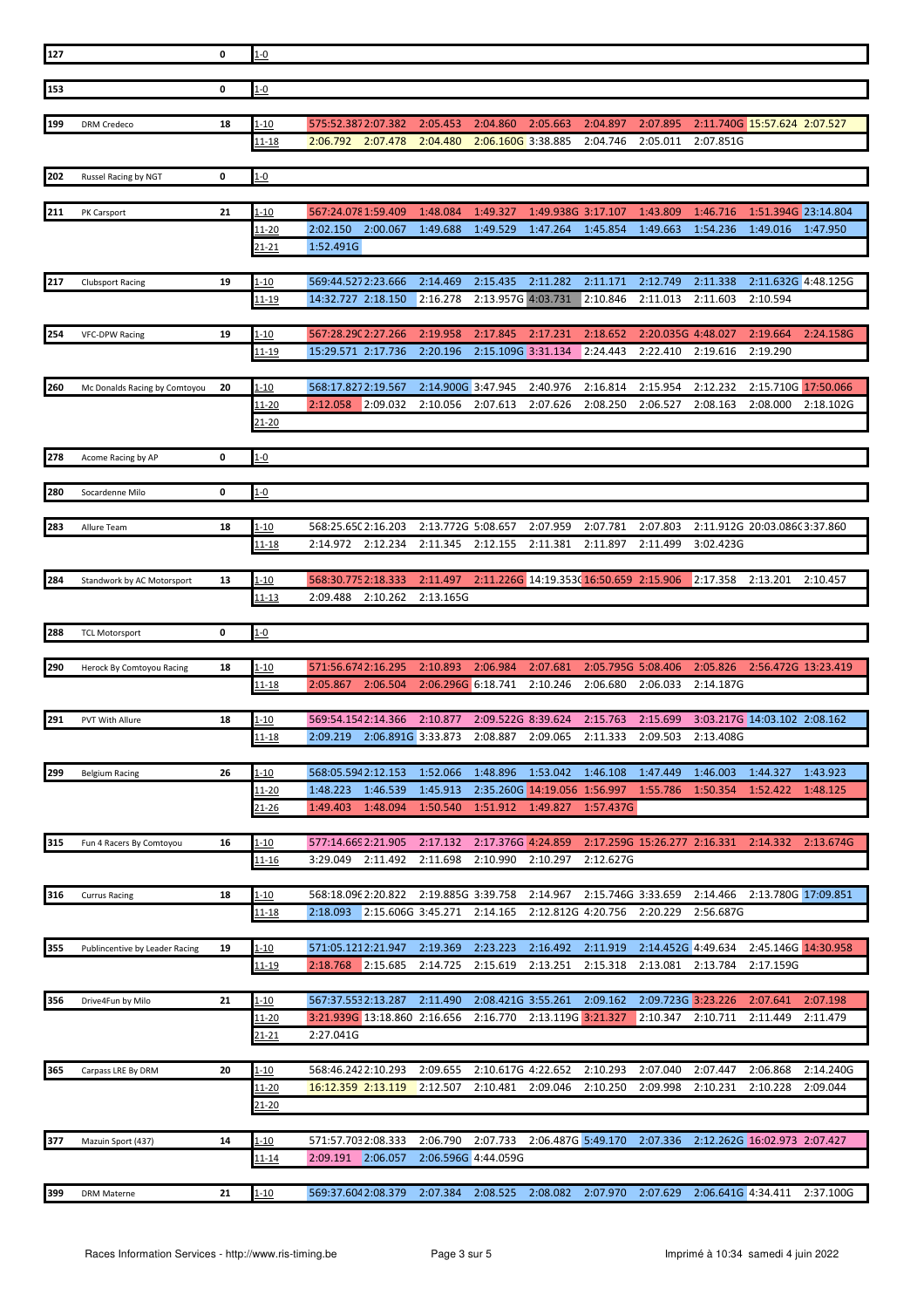| 127 |                                | 0  | $1 - 0$           |                                             |                      |                              |                                |                                         |                      |                              |                                 |                     |
|-----|--------------------------------|----|-------------------|---------------------------------------------|----------------------|------------------------------|--------------------------------|-----------------------------------------|----------------------|------------------------------|---------------------------------|---------------------|
|     |                                |    |                   |                                             |                      |                              |                                |                                         |                      |                              |                                 |                     |
| 153 |                                | 0  | $1 - 0$           |                                             |                      |                              |                                |                                         |                      |                              |                                 |                     |
|     |                                |    |                   |                                             |                      |                              |                                |                                         |                      |                              |                                 |                     |
| 199 | <b>DRM</b> Credeco             | 18 | $1 - 10$          | 575:52.3872:07.382                          | 2:05.453             | 2:04.860                     | 2:05.663                       | 2:04.897                                | 2:07.895             | 2:11.740G 15:57.624 2:07.527 |                                 |                     |
|     |                                |    | <u> 11-18</u>     | 2:06.792<br>2:07.478                        | 2:04.480             | 2:06.160G 3:38.885           |                                | 2:04.746                                | 2:05.011             | 2:07.851G                    |                                 |                     |
|     |                                |    |                   |                                             |                      |                              |                                |                                         |                      |                              |                                 |                     |
| 202 | Russel Racing by NGT           | 0  | $1 - 0$           |                                             |                      |                              |                                |                                         |                      |                              |                                 |                     |
|     |                                | 21 |                   |                                             |                      |                              |                                |                                         |                      |                              |                                 |                     |
| 211 | PK Carsport                    |    | $1 - 10$<br>11-20 | 567:24.078 1:59.409<br>2:02.150<br>2:00.067 | 1:48.084<br>1:49.688 | 1:49.327<br>1:49.529         | 1:49.938G 3:17.107<br>1:47.264 | 1:45.854                                | 1:43.809<br>1:49.663 | 1:46.716<br>1:54.236         | 1:51.394G 23:14.804<br>1:49.016 | 1:47.950            |
|     |                                |    | $21 - 21$         | 1:52.491G                                   |                      |                              |                                |                                         |                      |                              |                                 |                     |
|     |                                |    |                   |                                             |                      |                              |                                |                                         |                      |                              |                                 |                     |
| 217 | <b>Clubsport Racing</b>        | 19 | $1 - 10$          | 569:44.5272:23.666                          | 2:14.469             | 2:15.435                     | 2:11.282                       | 2:11.171                                | 2:12.749             | 2:11.338                     |                                 | 2:11.632G 4:48.125G |
|     |                                |    | 11-19             | 14:32.727 2:18.150                          | 2:16.278             | 2:13.957G 4:03.731           |                                | 2:10.846                                | 2:11.013             | 2:11.603                     | 2:10.594                        |                     |
|     |                                |    |                   |                                             |                      |                              |                                |                                         |                      |                              |                                 |                     |
| 254 | <b>VFC-DPW Racing</b>          | 19 | $1 - 10$          | 567:28.290 2:27.266                         | 2:19.958             | 2:17.845                     | 2:17.231                       | 2:18.652                                | 2:20.035G 4:48.027   |                              | 2:19.664                        | 2:24.158G           |
|     |                                |    | <u>11-19</u>      | 15:29.571 2:17.736                          | 2:20.196             | 2:15.109G 3:31.134           |                                | 2:24.443                                | 2:22.410             | 2:19.616                     | 2:19.290                        |                     |
|     |                                |    |                   |                                             |                      |                              |                                |                                         |                      |                              |                                 |                     |
| 260 | Mc Donalds Racing by Comtoyou  | 20 | $1 - 10$          | 568:17.8272:19.567                          | 2:14.900G 3:47.945   |                              | 2:40.976                       | 2:16.814                                | 2:15.954             | 2:12.232                     | 2:15.710G 17:50.066             |                     |
|     |                                |    | 11-20             | 2:12.058<br>2:09.032                        | 2:10.056             | 2:07.613                     | 2:07.626                       | 2:08.250                                | 2:06.527             | 2:08.163                     | 2:08.000                        | 2:18.102G           |
|     |                                |    | 21-20             |                                             |                      |                              |                                |                                         |                      |                              |                                 |                     |
|     |                                |    |                   |                                             |                      |                              |                                |                                         |                      |                              |                                 |                     |
| 278 | Acome Racing by AP             | 0  | $1 - 0$           |                                             |                      |                              |                                |                                         |                      |                              |                                 |                     |
|     |                                |    |                   |                                             |                      |                              |                                |                                         |                      |                              |                                 |                     |
| 280 | Socardenne Milo                | 0  | $1 - 0$           |                                             |                      |                              |                                |                                         |                      |                              |                                 |                     |
|     |                                |    |                   |                                             |                      |                              |                                |                                         |                      |                              |                                 |                     |
| 283 | Allure Team                    | 18 | 1-10              | 568:25.650 2:16.203                         | 2:13.772G 5:08.657   |                              | 2:07.959                       | 2:07.781                                | 2:07.803             | 2:11.912G 20:03.086(3:37.860 |                                 |                     |
|     |                                |    | $11 - 18$         | 2:14.972<br>2:12.234                        | 2:11.345             | 2:12.155                     | 2:11.381                       | 2:11.897                                | 2:11.499             | 3:02.423G                    |                                 |                     |
|     |                                |    |                   |                                             |                      |                              |                                |                                         |                      |                              |                                 |                     |
| 284 | Standwork by AC Motorsport     | 13 | $1 - 10$          | 568:30.7752:18.333                          | 2:11.497             |                              |                                | 2:11.226G 14:19.353C 16:50.659 2:15.906 |                      | 2:17.358                     | 2:13.201                        | 2:10.457            |
|     |                                |    | 11-13             | 2:09.488<br>2:10.262                        | 2:13.165G            |                              |                                |                                         |                      |                              |                                 |                     |
|     |                                |    |                   |                                             |                      |                              |                                |                                         |                      |                              |                                 |                     |
| 288 | <b>TCL Motorsport</b>          | 0  | $1 - 0$           |                                             |                      |                              |                                |                                         |                      |                              |                                 |                     |
| 290 |                                | 18 | 1-10              | 571:56.6742:16.295                          | 2:10.893             | 2:06.984                     | 2:07.681                       | 2:05.795G 5:08.406                      |                      | 2:05.826                     | 2:56.472G 13:23.419             |                     |
|     | Herock By Comtoyou Racing      |    | 11-18             | 2:06.504<br>2:05.867                        | 2:06.296G 6:18.741   |                              | 2:10.246                       | 2:06.680                                | 2:06.033             | 2:14.187G                    |                                 |                     |
|     |                                |    |                   |                                             |                      |                              |                                |                                         |                      |                              |                                 |                     |
| 291 | <b>PVT With Allure</b>         | 18 | $1 - 10$          | 569:54.1542:14.366                          | 2:10.877             | 2:09.522G 8:39.624           |                                | 2:15.763                                | 2:15.699             | 3:03.217G 14:03.102 2:08.162 |                                 |                     |
|     |                                |    | $11 - 18$         | 2:09.219 2:06.891G 3:33.873                 |                      | 2:08.887                     | 2:09.065                       | 2:11.333                                | 2:09.503             | 2:13.408G                    |                                 |                     |
|     |                                |    |                   |                                             |                      |                              |                                |                                         |                      |                              |                                 |                     |
| 299 | <b>Belgium Racing</b>          | 26 | $1 - 10$          | 568:05.5942:12.153                          | 1:52.066             | 1:48.896                     | 1:53.042                       | 1:46.108                                | 1:47.449             | 1:46.003                     | 1:44.327                        | 1:43.923            |
|     |                                |    | 11-20             | 1:48.223<br>1:46.539                        | 1:45.913             | 2:35.260G 14:19.056 1:56.997 |                                |                                         | 1:55.786             | 1:50.354                     | 1:52.422                        | 1:48.125            |
|     |                                |    | 21-26             | 1:49.403<br>1:48.094                        | 1:50.540             | 1:51.912                     | 1:49.827                       | 1:57.437G                               |                      |                              |                                 |                     |
|     |                                |    |                   |                                             |                      |                              |                                |                                         |                      |                              |                                 |                     |
| 315 | Fun 4 Racers By Comtoyou       | 16 | $1 - 10$          | 577:14.669 2:21.905                         | 2:17.132             | 2:17.376G 4:24.859           |                                | 2:17.259G 15:26.277 2:16.331            |                      |                              | 2:14.332                        | 2:13.674G           |
|     |                                |    | $11 - 16$         | 3:29.049<br>2:11.492                        | 2:11.698             | 2:10.990                     | 2:10.297                       | 2:12.627G                               |                      |                              |                                 |                     |
|     |                                |    |                   |                                             |                      |                              |                                |                                         |                      |                              |                                 |                     |
| 316 | <b>Currus Racing</b>           | 18 | $1 - 10$          | 568:18.096 2:20.822                         | 2:19.885G 3:39.758   |                              | 2:14.967                       | 2:15.746G 3:33.659                      |                      | 2:14.466                     | 2:13.780G 17:09.851             |                     |
|     |                                |    | $11 - 18$         | 2:18.093<br>2:15.606G 3:45.271              |                      | 2:14.165                     | 2:12.812G 4:20.756             |                                         | 2:20.229             | 2:56.687G                    |                                 |                     |
|     |                                |    |                   |                                             |                      |                              |                                |                                         |                      |                              |                                 |                     |
| 355 | Publincentive by Leader Racing | 19 | $1 - 10$          | 571:05.1212:21.947                          | 2:19.369             | 2:23.223                     | 2:16.492                       | 2:11.919                                | 2:14.452G 4:49.634   |                              | 2:45.146G 14:30.958             |                     |
|     |                                |    | 11-19             | 2:18.768<br>2:15.685                        | 2:14.725             | 2:15.619                     | 2:13.251                       | 2:15.318                                | 2:13.081             | 2:13.784                     | 2:17.159G                       |                     |
|     |                                |    |                   |                                             |                      |                              |                                |                                         |                      |                              |                                 |                     |
| 356 | Drive4Fun by Milo              | 21 | $1 - 10$          | 567:37.5532:13.287                          | 2:11.490             | 2:08.421G 3:55.261           |                                | 2:09.162                                | 2:09.723G 3:23.226   |                              | 2:07.641                        | 2:07.198            |
|     |                                |    | 11-20             | 3:21.939G 13:18.860 2:16.656                |                      | 2:16.770                     | 2:13.119G 3:21.327             |                                         | 2:10.347             | 2:10.711                     | 2:11.449                        | 2:11.479            |
|     |                                |    | 21-21             | 2:27.041G                                   |                      |                              |                                |                                         |                      |                              |                                 |                     |
|     |                                |    |                   |                                             |                      |                              |                                |                                         |                      |                              |                                 |                     |
| 365 | Carpass LRE By DRM             | 20 | $1 - 10$          | 568:46.2422:10.293                          | 2:09.655             | 2:10.617G 4:22.652           |                                | 2:10.293                                | 2:07.040             | 2:07.447                     | 2:06.868                        | 2:14.240G           |
|     |                                |    | 11-20             | 16:12.359 2:13.119                          | 2:12.507             | 2:10.481                     | 2:09.046                       | 2:10.250                                | 2:09.998             | 2:10.231                     | 2:10.228                        | 2:09.044            |
|     |                                |    | $21 - 20$         |                                             |                      |                              |                                |                                         |                      |                              |                                 |                     |
|     |                                |    |                   |                                             |                      |                              |                                |                                         |                      |                              |                                 |                     |
| 377 | Mazuin Sport (437)             | 14 | $1 - 10$          | 571:57.7032:08.333                          | 2:06.790             | 2:07.733                     |                                | 2:06.487G 5:49.170                      | 2:07.336             | 2:12.262G 16:02.973 2:07.427 |                                 |                     |
|     |                                |    | <u>11-14</u>      | 2:06.057<br>2:09.191                        |                      | 2:06.596G 4:44.059G          |                                |                                         |                      |                              |                                 |                     |
| 399 |                                | 21 |                   | 569:37.6042:08.379                          | 2:07.384             | 2:08.525                     | 2:08.082                       | 2:07.970                                |                      |                              |                                 |                     |
|     | <b>DRM Materne</b>             |    | $1 - 10$          |                                             |                      |                              |                                |                                         | 2:07.629             | 2:06.641G 4:34.411           |                                 | 2:37.100G           |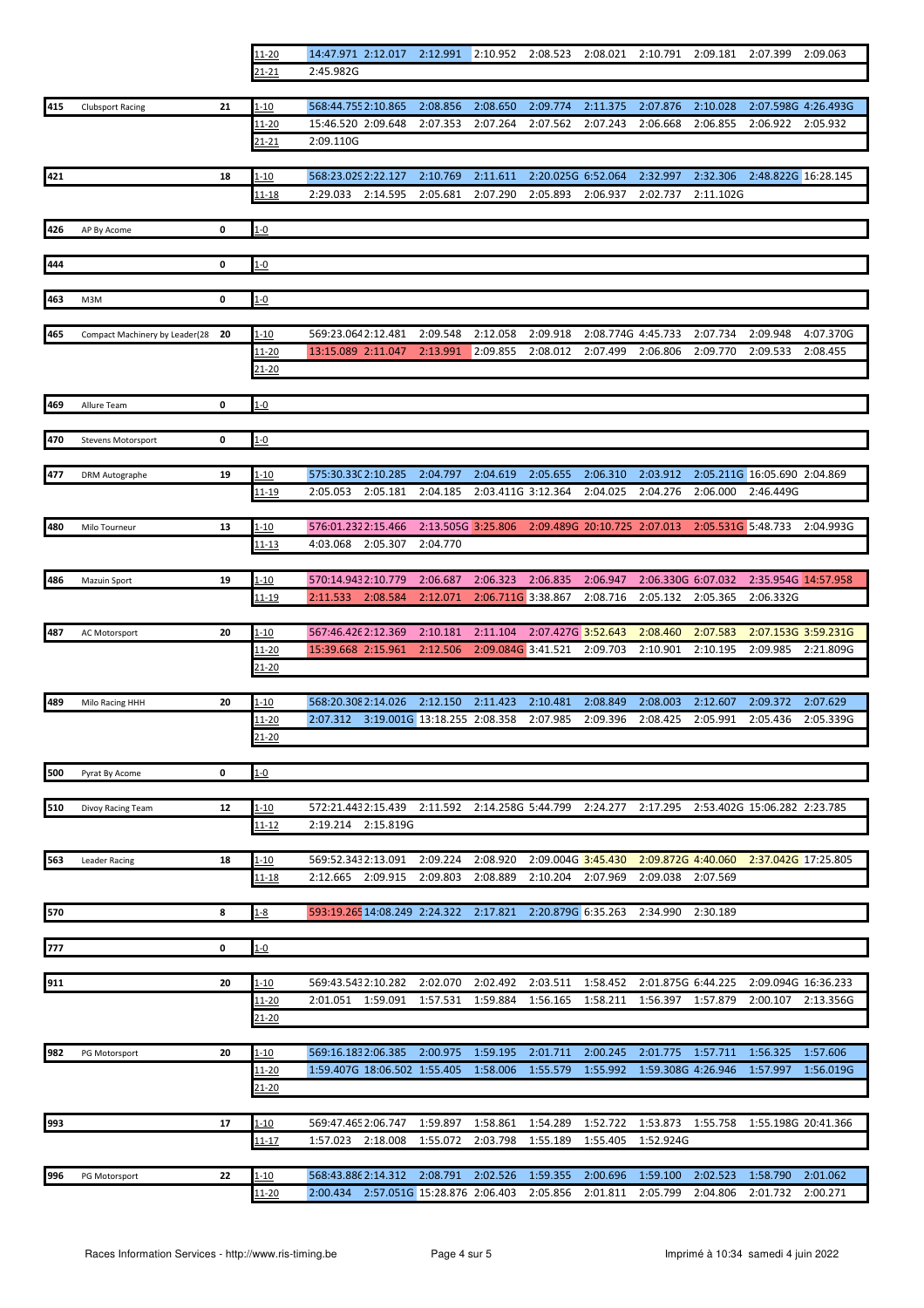|     |                                |    | <u> 11-20</u>                | 14:47.971 2:12.017 2:12.991 2:10.952 2:08.523 2:08.021 2:10.791 2:09.181 2:07.399 |          |                              |                    |          |                              |                      |                              | 2:09.063            |
|-----|--------------------------------|----|------------------------------|-----------------------------------------------------------------------------------|----------|------------------------------|--------------------|----------|------------------------------|----------------------|------------------------------|---------------------|
|     |                                |    | $21 - 21$                    | 2:45.982G                                                                         |          |                              |                    |          |                              |                      |                              |                     |
|     |                                |    |                              |                                                                                   |          |                              |                    |          |                              |                      |                              |                     |
| 415 | <b>Clubsport Racing</b>        | 21 | 1-10                         | 568:44.7552:10.865                                                                | 2:08.856 | 2:08.650                     | 2:09.774           | 2:11.375 | 2:07.876                     | 2:10.028             |                              | 2:07.598G 4:26.493G |
|     |                                |    | <u> 11-20</u>                | 15:46.520 2:09.648<br>2:09.110G                                                   | 2:07.353 | 2:07.264                     | 2:07.562           | 2:07.243 | 2:06.668                     | 2:06.855             | 2:06.922                     | 2:05.932            |
|     |                                |    | 21-21                        |                                                                                   |          |                              |                    |          |                              |                      |                              |                     |
| 421 |                                | 18 | $1 - 10$                     | 568:23.029 2:22.127                                                               | 2:10.769 | 2:11.611                     | 2:20.025G 6:52.064 |          | 2:32.997                     | 2:32.306             | 2:48.822G 16:28.145          |                     |
|     |                                |    | 11-18                        | 2:29.033<br>2:14.595                                                              | 2:05.681 | 2:07.290                     | 2:05.893           | 2:06.937 | 2:02.737                     | 2:11.102G            |                              |                     |
|     |                                |    |                              |                                                                                   |          |                              |                    |          |                              |                      |                              |                     |
| 426 | AP By Acome                    | 0  | $1 - 0$                      |                                                                                   |          |                              |                    |          |                              |                      |                              |                     |
|     |                                |    |                              |                                                                                   |          |                              |                    |          |                              |                      |                              |                     |
| 444 |                                | 0  | $1 - 0$                      |                                                                                   |          |                              |                    |          |                              |                      |                              |                     |
| 463 | M3M                            | 0  | $1 - 0$                      |                                                                                   |          |                              |                    |          |                              |                      |                              |                     |
|     |                                |    |                              |                                                                                   |          |                              |                    |          |                              |                      |                              |                     |
| 465 | Compact Machinery by Leader(28 | 20 | <u>1-10</u>                  | 569:23.0642:12.481                                                                | 2:09.548 | 2:12.058                     | 2:09.918           |          | 2:08.774G 4:45.733           | 2:07.734             | 2:09.948                     | 4:07.370G           |
|     |                                |    | $11 - 20$                    | 13:15.089 2:11.047                                                                | 2:13.991 | 2:09.855                     | 2:08.012           | 2:07.499 | 2:06.806                     | 2:09.770             | 2:09.533                     | 2:08.455            |
|     |                                |    | <u>21-20</u>                 |                                                                                   |          |                              |                    |          |                              |                      |                              |                     |
| 469 | Allure Team                    | 0  |                              |                                                                                   |          |                              |                    |          |                              |                      |                              |                     |
|     |                                |    | $1 - 0$                      |                                                                                   |          |                              |                    |          |                              |                      |                              |                     |
| 470 | Stevens Motorsport             | 0  | $1 - 0$                      |                                                                                   |          |                              |                    |          |                              |                      |                              |                     |
|     |                                |    |                              |                                                                                   |          |                              |                    |          |                              |                      |                              |                     |
| 477 | DRM Autographe                 | 19 | <u>1-10</u>                  | 575:30.330 2:10.285                                                               | 2:04.797 | 2:04.619                     | 2:05.655           | 2:06.310 | 2:03.912                     |                      | 2:05.211G 16:05.690 2:04.869 |                     |
|     |                                |    | 11-19                        | 2:05.053<br>2:05.181                                                              | 2:04.185 |                              | 2:03.411G 3:12.364 | 2:04.025 | 2:04.276                     | 2:06.000             | 2:46.449G                    |                     |
|     |                                | 13 |                              | 576:01.2322:15.466                                                                |          |                              |                    |          |                              | 2:05.531G 5:48.733   |                              |                     |
| 480 | Milo Tourneur                  |    | <u>1-10</u><br><u> 11-13</u> | 4:03.068 2:05.307                                                                 | 2:04.770 | 2:13.505G 3:25.806           |                    |          | 2:09.489G 20:10.725 2:07.013 |                      |                              | 2:04.993G           |
|     |                                |    |                              |                                                                                   |          |                              |                    |          |                              |                      |                              |                     |
| 486 | Mazuin Sport                   | 19 | $1 - 10$                     | 570:14.9432:10.779                                                                | 2:06.687 | 2:06.323                     | 2:06.835           | 2:06.947 |                              | 2:06.330G 6:07.032   |                              | 2:35.954G 14:57.958 |
|     |                                |    | 11-19                        | 2:11.533 2:08.584                                                                 | 2:12.071 |                              | 2:06.7116 3:38.867 | 2:08.716 | 2:05.132                     | 2:05.365             | 2:06.332G                    |                     |
|     |                                |    |                              |                                                                                   |          |                              |                    |          |                              |                      |                              |                     |
| 487 | AC Motorsport                  | 20 | 1-10                         | 567:46.426 2:12.369                                                               | 2:10.181 | 2:11.104                     | 2:07.427G 3:52.643 | 2:09.703 | 2:08.460<br>2:10.901         | 2:07.583<br>2:10.195 |                              | 2:07.153G 3:59.231G |
|     |                                |    | 11-20<br><u>21-20</u>        | 15:39.668 2:15.961                                                                | 2:12.506 |                              | 2:09.084G 3:41.521 |          |                              |                      | 2:09.985                     | 2:21.809G           |
|     |                                |    |                              |                                                                                   |          |                              |                    |          |                              |                      |                              |                     |
| 489 | Milo Racing HHH                | 20 | <u>1-10</u>                  | 568:20.308 2:14.026                                                               | 2:12.150 | 2:11.423                     | 2:10.481           | 2:08.849 | 2:08.003                     | 2:12.607             | 2:09.372                     | 2:07.629            |
|     |                                |    | $11 - 20$                    | 2:07.312                                                                          |          | 3:19.001G 13:18.255 2:08.358 | 2:07.985           | 2:09.396 | 2:08.425                     | 2:05.991             | 2:05.436                     | 2:05.339G           |
|     |                                |    | $21 - 20$                    |                                                                                   |          |                              |                    |          |                              |                      |                              |                     |
| 500 |                                | 0  |                              |                                                                                   |          |                              |                    |          |                              |                      |                              |                     |
|     | Pyrat By Acome                 |    | $1 - 0$                      |                                                                                   |          |                              |                    |          |                              |                      |                              |                     |
| 510 | Divoy Racing Team              | 12 | 1-10                         | 572:21.4432:15.439                                                                | 2:11.592 |                              | 2:14.258G 5:44.799 | 2:24.277 | 2:17.295                     |                      | 2:53.402G 15:06.282 2:23.785 |                     |
|     |                                |    | 11-12                        | 2:19.214<br>2:15.819G                                                             |          |                              |                    |          |                              |                      |                              |                     |
|     |                                |    |                              |                                                                                   |          |                              |                    |          |                              |                      |                              |                     |
| 563 | <b>Leader Racing</b>           | 18 | $1 - 10$                     | 569:52.3432:13.091                                                                | 2:09.224 | 2:08.920                     | 2:09.004G 3:45.430 |          |                              | 2:09.872G 4:40.060   | 2:37.042G 17:25.805          |                     |
|     |                                |    | <u> 11-18</u>                | 2:09.915<br>2:12.665                                                              | 2:09.803 | 2:08.889                     | 2:10.204           | 2:07.969 | 2:09.038                     | 2:07.569             |                              |                     |
| 570 |                                | 8  | $1 - 8$                      | 593:19.265 14:08.249 2:24.322                                                     |          | 2:17.821                     | 2:20.879G 6:35.263 |          | 2:34.990                     | 2:30.189             |                              |                     |
|     |                                |    |                              |                                                                                   |          |                              |                    |          |                              |                      |                              |                     |
| 777 |                                | 0  | $1 - 0$                      |                                                                                   |          |                              |                    |          |                              |                      |                              |                     |
|     |                                |    |                              |                                                                                   |          |                              |                    |          |                              |                      |                              |                     |
| 911 |                                | 20 | $1 - 10$                     | 569:43.5432:10.282                                                                | 2:02.070 | 2:02.492                     | 2:03.511           | 1:58.452 | 2:01.875G 6:44.225           |                      |                              | 2:09.094G 16:36.233 |
|     |                                |    | 11-20<br>21-20               | 1:59.091<br>2:01.051                                                              | 1:57.531 | 1:59.884                     | 1:56.165           | 1:58.211 | 1:56.397                     | 1:57.879             | 2:00.107                     | 2:13.356G           |
|     |                                |    |                              |                                                                                   |          |                              |                    |          |                              |                      |                              |                     |
| 982 | PG Motorsport                  | 20 | $1 - 10$                     | 569:16.1832:06.385                                                                | 2:00.975 | 1:59.195                     | 2:01.711           | 2:00.245 | 2:01.775                     | 1:57.711             | 1:56.325                     | 1:57.606            |
|     |                                |    | 11-20                        | 1:59.407G 18:06.502 1:55.405                                                      |          | 1:58.006                     | 1:55.579           | 1:55.992 | 1:59.308G 4:26.946           |                      | 1:57.997                     | 1:56.019G           |
|     |                                |    | 21-20                        |                                                                                   |          |                              |                    |          |                              |                      |                              |                     |
|     |                                |    |                              |                                                                                   |          |                              |                    |          |                              |                      |                              |                     |
| 993 |                                | 17 | $1 - 10$                     | 569:47.4652:06.747                                                                | 1:59.897 | 1:58.861                     | 1:54.289           | 1:52.722 | 1:53.873                     | 1:55.758             | 1:55.198G 20:41.366          |                     |
|     |                                |    | <u> 11-17</u>                | 1:57.023<br>2:18.008                                                              | 1:55.072 | 2:03.798                     | 1:55.189           | 1:55.405 | 1:52.924G                    |                      |                              |                     |
| 996 | PG Motorsport                  | 22 | $1 - 10$                     | 568:43.886 2:14.312                                                               | 2:08.791 | 2:02.526                     | 1:59.355           | 2:00.696 | 1:59.100                     | 2:02.523             | 1:58.790                     | 2:01.062            |
|     |                                |    | 11-20                        | 2:00.434 2:57.051G 15:28.876 2:06.403                                             |          |                              | 2:05.856           | 2:01.811 | 2:05.799                     | 2:04.806             | 2:01.732                     | 2:00.271            |